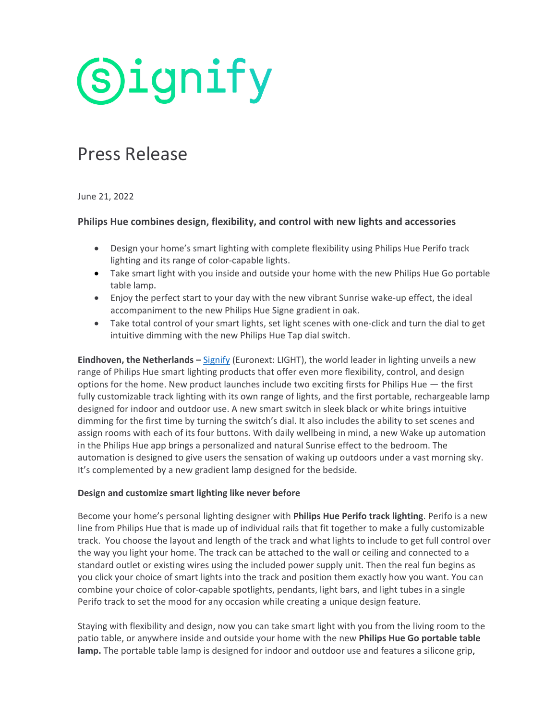**Signify** 

# Press Release

June 21, 2022

### **Philips Hue combines design, flexibility, and control with new lights and accessories**

- Design your home's smart lighting with complete flexibility using Philips Hue Perifo track lighting and its range of color-capable lights.
- Take smart light with you inside and outside your home with the new Philips Hue Go portable table lamp.
- Enjoy the perfect start to your day with the new vibrant Sunrise wake-up effect, the ideal accompaniment to the new Philips Hue Signe gradient in oak.
- Take total control of your smart lights, set light scenes with one-click and turn the dial to get intuitive dimming with the new Philips Hue Tap dial switch.

**Eindhoven, the Netherlands –** [Signify](https://www.signify.com/) (Euronext: LIGHT), the world leader in lighting unveils a new range of Philips Hue smart lighting products that offer even more flexibility, control, and design options for the home. New product launches include two exciting firsts for Philips Hue — the first fully customizable track lighting with its own range of lights, and the first portable, rechargeable lamp designed for indoor and outdoor use. A new smart switch in sleek black or white brings intuitive dimming for the first time by turning the switch's dial. It also includes the ability to set scenes and assign rooms with each of its four buttons. With daily wellbeing in mind, a new Wake up automation in the Philips Hue app brings a personalized and natural Sunrise effect to the bedroom. The automation is designed to give users the sensation of waking up outdoors under a vast morning sky. It's complemented by a new gradient lamp designed for the bedside.

#### **Design and customize smart lighting like never before**

Become your home's personal lighting designer with **Philips Hue Perifo track lighting**. Perifo is a new line from Philips Hue that is made up of individual rails that fit together to make a fully customizable track. You choose the layout and length of the track and what lights to include to get full control over the way you light your home. The track can be attached to the wall or ceiling and connected to a standard outlet or existing wires using the included power supply unit. Then the real fun begins as you click your choice of smart lights into the track and position them exactly how you want. You can combine your choice of color-capable spotlights, pendants, light bars, and light tubes in a single Perifo track to set the mood for any occasion while creating a unique design feature.

Staying with flexibility and design, now you can take smart light with you from the living room to the patio table, or anywhere inside and outside your home with the new **Philips Hue Go portable table lamp.** The portable table lamp is designed for indoor and outdoor use and features a silicone grip,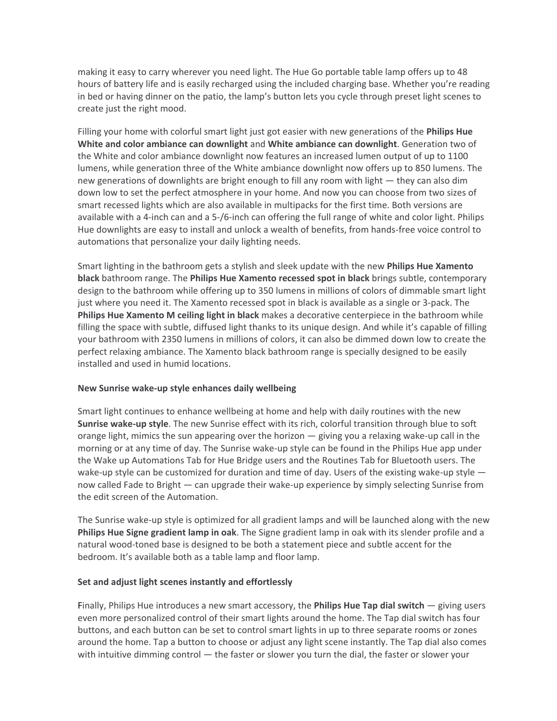making it easy to carry wherever you need light. The Hue Go portable table lamp offers up to 48 hours of battery life and is easily recharged using the included charging base. Whether you're reading in bed or having dinner on the patio, the lamp's button lets you cycle through preset light scenes to create just the right mood.

Filling your home with colorful smart light just got easier with new generations of the **Philips Hue White and color ambiance can downlight** and **White ambiance can downlight**. Generation two of the White and color ambiance downlight now features an increased lumen output of up to 1100 lumens, while generation three of the White ambiance downlight now offers up to 850 lumens. The new generations of downlights are bright enough to fill any room with light — they can also dim down low to set the perfect atmosphere in your home. And now you can choose from two sizes of smart recessed lights which are also available in multipacks for the first time. Both versions are available with a 4-inch can and a 5-/6-inch can offering the full range of white and color light. Philips Hue downlights are easy to install and unlock a wealth of benefits, from hands-free voice control to automations that personalize your daily lighting needs.

Smart lighting in the bathroom gets a stylish and sleek update with the new **Philips Hue Xamento black** bathroom range. The **Philips Hue Xamento recessed spot in black** brings subtle, contemporary design to the bathroom while offering up to 350 lumens in millions of colors of dimmable smart light just where you need it. The Xamento recessed spot in black is available as a single or 3-pack. The **Philips Hue Xamento M ceiling light in black** makes a decorative centerpiece in the bathroom while filling the space with subtle, diffused light thanks to its unique design. And while it's capable of filling your bathroom with 2350 lumens in millions of colors, it can also be dimmed down low to create the perfect relaxing ambiance. The Xamento black bathroom range is specially designed to be easily installed and used in humid locations.

#### **New Sunrise wake-up style enhances daily wellbeing**

Smart light continues to enhance wellbeing at home and help with daily routines with the new **Sunrise wake-up style**. The new Sunrise effect with its rich, colorful transition through blue to soft orange light, mimics the sun appearing over the horizon  $-$  giving you a relaxing wake-up call in the morning or at any time of day. The Sunrise wake-up style can be found in the Philips Hue app under the Wake up Automations Tab for Hue Bridge users and the Routines Tab for Bluetooth users. The wake-up style can be customized for duration and time of day. Users of the existing wake-up style  $$ now called Fade to Bright — can upgrade their wake-up experience by simply selecting Sunrise from the edit screen of the Automation.

The Sunrise wake-up style is optimized for all gradient lamps and will be launched along with the new **Philips Hue Signe gradient lamp in oak**. The Signe gradient lamp in oak with its slender profile and a natural wood-toned base is designed to be both a statement piece and subtle accent for the bedroom. It's available both as a table lamp and floor lamp.

#### **Set and adjust light scenes instantly and effortlessly**

Finally, Philips Hue introduces a new smart accessory, the **Philips Hue Tap dial switch** — giving users even more personalized control of their smart lights around the home. The Tap dial switch has four buttons, and each button can be set to control smart lights in up to three separate rooms or zones around the home. Tap a button to choose or adjust any light scene instantly. The Tap dial also comes with intuitive dimming control — the faster or slower you turn the dial, the faster or slower your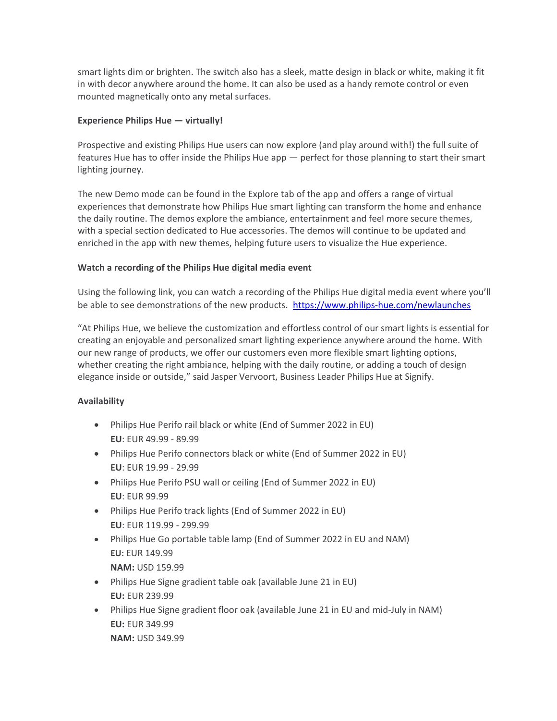smart lights dim or brighten. The switch also has a sleek, matte design in black or white, making it fit in with decor anywhere around the home. It can also be used as a handy remote control or even mounted magnetically onto any metal surfaces.

#### **Experience Philips Hue — virtually!**

Prospective and existing Philips Hue users can now explore (and play around with!) the full suite of features Hue has to offer inside the Philips Hue app  $-$  perfect for those planning to start their smart lighting journey.

The new Demo mode can be found in the Explore tab of the app and offers a range of virtual experiences that demonstrate how Philips Hue smart lighting can transform the home and enhance the daily routine. The demos explore the ambiance, entertainment and feel more secure themes, with a special section dedicated to Hue accessories. The demos will continue to be updated and enriched in the app with new themes, helping future users to visualize the Hue experience.

## **Watch a recording of the Philips Hue digital media event**

Using the following link, you can watch a recording of the Philips Hue digital media event where you'll be able to see demonstrations of the new products. <https://www.philips-hue.com/newlaunches>

"At Philips Hue, we believe the customization and effortless control of our smart lights is essential for creating an enjoyable and personalized smart lighting experience anywhere around the home. With our new range of products, we offer our customers even more flexible smart lighting options, whether creating the right ambiance, helping with the daily routine, or adding a touch of design elegance inside or outside," said Jasper Vervoort, Business Leader Philips Hue at Signify.

## **Availability**

- Philips Hue Perifo rail black or white (End of Summer 2022 in EU) **EU**: EUR 49.99 - 89.99
- Philips Hue Perifo connectors black or white (End of Summer 2022 in EU) **EU**: EUR 19.99 - 29.99
- Philips Hue Perifo PSU wall or ceiling (End of Summer 2022 in EU) **EU**: EUR 99.99
- Philips Hue Perifo track lights (End of Summer 2022 in EU) **EU**: EUR 119.99 - 299.99
- Philips Hue Go portable table lamp (End of Summer 2022 in EU and NAM) **EU:** EUR 149.99 **NAM:** USD 159.99
- Philips Hue Signe gradient table oak (available June 21 in EU) **EU:** EUR 239.99
- Philips Hue Signe gradient floor oak (available June 21 in EU and mid-July in NAM) **EU:** EUR 349.99 **NAM:** USD 349.99